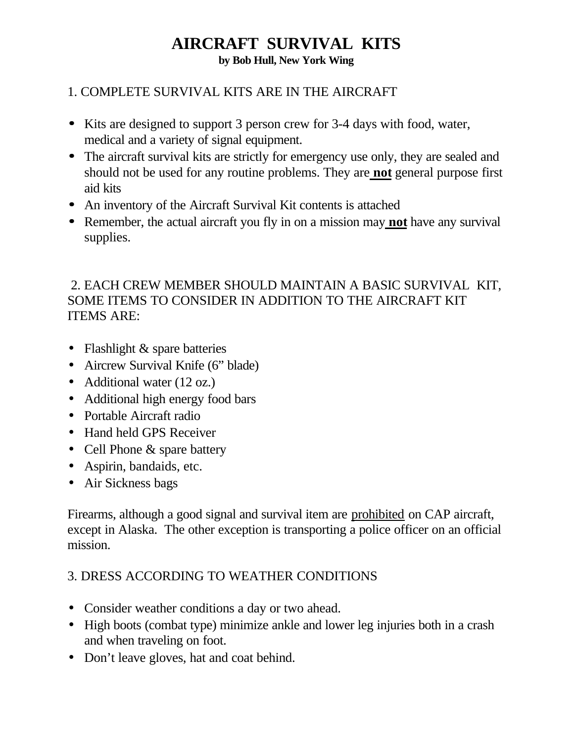# **AIRCRAFT SURVIVAL KITS**

**by Bob Hull, New York Wing**

#### 1. COMPLETE SURVIVAL KITS ARE IN THE AIRCRAFT

- **·** Kits are designed to support 3 person crew for 3-4 days with food, water, medical and a variety of signal equipment.
- **·** The aircraft survival kits are strictly for emergency use only, they are sealed and should not be used for any routine problems. They are **not** general purpose first aid kits
- **·** An inventory of the Aircraft Survival Kit contents is attached
- **·** Remember, the actual aircraft you fly in on a mission may **not** have any survival supplies.

#### 2. EACH CREW MEMBER SHOULD MAINTAIN A BASIC SURVIVAL KIT, SOME ITEMS TO CONSIDER IN ADDITION TO THE AIRCRAFT KIT ITEMS ARE:

- Flashlight & spare batteries
- Aircrew Survival Knife (6" blade)
- Additional water (12 oz.)
- Additional high energy food bars
- Portable Aircraft radio
- Hand held GPS Receiver
- Cell Phone & spare battery
- Aspirin, bandaids, etc.
- Air Sickness bags

Firearms, although a good signal and survival item are prohibited on CAP aircraft, except in Alaska. The other exception is transporting a police officer on an official mission.

### 3. DRESS ACCORDING TO WEATHER CONDITIONS

- Consider weather conditions a day or two ahead.
- High boots (combat type) minimize ankle and lower leg injuries both in a crash and when traveling on foot.
- Don't leave gloves, hat and coat behind.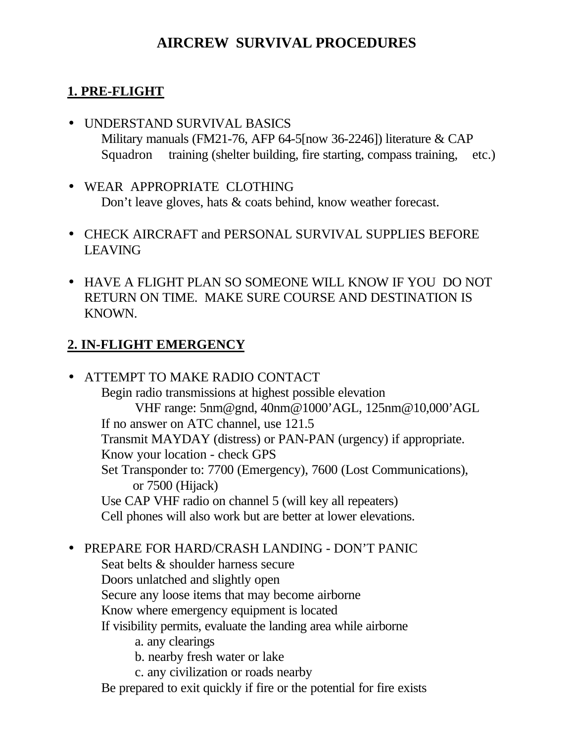# **AIRCREW SURVIVAL PROCEDURES**

#### **1. PRE-FLIGHT**

- UNDERSTAND SURVIVAL BASICS Military manuals (FM21-76, AFP 64-5[now 36-2246]) literature & CAP Squadron training (shelter building, fire starting, compass training, etc.)
- WEAR APPROPRIATE CLOTHING Don't leave gloves, hats & coats behind, know weather forecast.
- CHECK AIRCRAFT and PERSONAL SURVIVAL SUPPLIES BEFORE LEAVING
- HAVE A FLIGHT PLAN SO SOMEONE WILL KNOW IF YOU DO NOT RETURN ON TIME. MAKE SURE COURSE AND DESTINATION IS KNOWN.

## **2. IN-FLIGHT EMERGENCY**

• ATTEMPT TO MAKE RADIO CONTACT Begin radio transmissions at highest possible elevation VHF range: 5nm@gnd, 40nm@1000'AGL, 125nm@10,000'AGL If no answer on ATC channel, use 121.5 Transmit MAYDAY (distress) or PAN-PAN (urgency) if appropriate. Know your location - check GPS Set Transponder to: 7700 (Emergency), 7600 (Lost Communications), or 7500 (Hijack) Use CAP VHF radio on channel 5 (will key all repeaters) Cell phones will also work but are better at lower elevations.

• PREPARE FOR HARD/CRASH LANDING - DON'T PANIC

Seat belts & shoulder harness secure Doors unlatched and slightly open Secure any loose items that may become airborne Know where emergency equipment is located If visibility permits, evaluate the landing area while airborne a. any clearings

b. nearby fresh water or lake

c. any civilization or roads nearby

Be prepared to exit quickly if fire or the potential for fire exists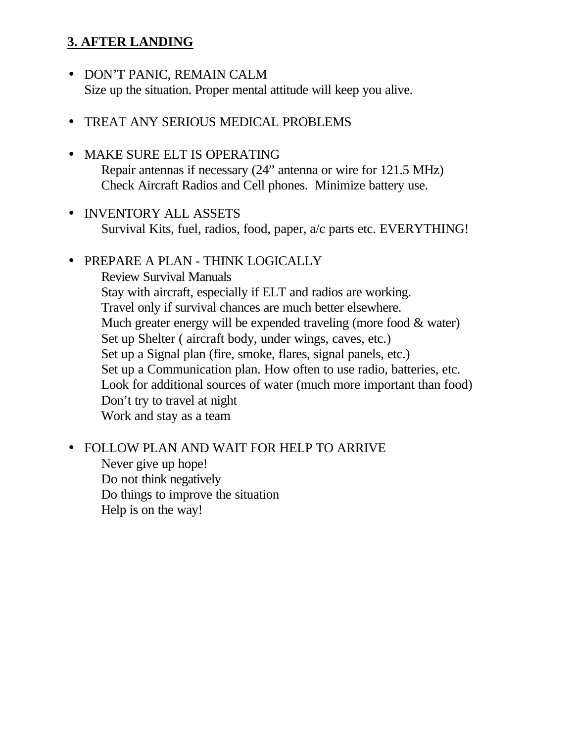#### **3. AFTER LANDING**

- DON'T PANIC, REMAIN CALM Size up the situation. Proper mental attitude will keep you alive.
- TREAT ANY SERIOUS MEDICAL PROBLEMS
- MAKE SURE ELT IS OPERATING Repair antennas if necessary (24" antenna or wire for 121.5 MHz) Check Aircraft Radios and Cell phones. Minimize battery use.
- INVENTORY ALL ASSETS Survival Kits, fuel, radios, food, paper, a/c parts etc. EVERYTHING!

#### • PREPARE A PLAN - THINK LOGICALLY

Review Survival Manuals Stay with aircraft, especially if ELT and radios are working. Travel only if survival chances are much better elsewhere. Much greater energy will be expended traveling (more food & water) Set up Shelter ( aircraft body, under wings, caves, etc.) Set up a Signal plan (fire, smoke, flares, signal panels, etc.) Set up a Communication plan. How often to use radio, batteries, etc. Look for additional sources of water (much more important than food) Don't try to travel at night Work and stay as a team

• FOLLOW PLAN AND WAIT FOR HELP TO ARRIVE Never give up hope! Do not think negatively Do things to improve the situation Help is on the way!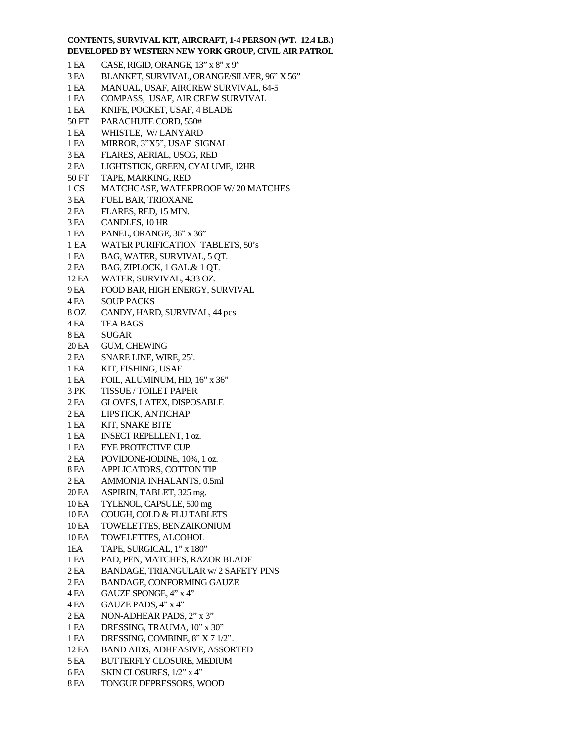#### **CONTENTS, SURVIVAL KIT, AIRCRAFT, 1-4 PERSON (WT. 12.4 LB.) DEVELOPED BY WESTERN NEW YORK GROUP, CIVIL AIR PATROL**

| 1 EA              | CASE, RIGID, ORANGE, 13" x 8" x 9"           |
|-------------------|----------------------------------------------|
| 3EA               | BLANKET, SURVIVAL, ORANGE/SILVER, 96" X 56"  |
| 1 EA              | MANUAL, USAF, AIRCREW SURVIVAL, 64-5         |
| 1 EA              | COMPASS, USAF, AIR CREW SURVIVAL             |
| 1 EA              | KNIFE, POCKET, USAF, 4 BLADE                 |
| 50 FT             | PARACHUTE CORD, 550#                         |
| 1 EA              | WHISTLE, W/LANYARD                           |
| 1 EA              | MIRROR, 3"X5", USAF SIGNAL                   |
| 3 EA              | FLARES, AERIAL, USCG, RED                    |
| 2EA               | LIGHTSTICK, GREEN, CYALUME, 12HR             |
| 50 FT             | TAPE, MARKING, RED                           |
| 1 CS              | MATCHCASE, WATERPROOF W/20 MATCHES           |
| 3 EA              | FUEL BAR, TRIOXANE                           |
| 2 EA              | FLARES, RED, 15 MIN.                         |
| 3EA               | CANDLES, 10 HR                               |
| 1EA               | PANEL, ORANGE, 36" x 36"                     |
| 1 EA              | WATER PURIFICATION TABLETS, 50's             |
| 1 EA              | BAG, WATER, SURVIVAL, 5 QT.                  |
| 2 EA              | BAG, ZIPLOCK, 1 GAL.& 1 QT.                  |
| 12 EA             | WATER, SURVIVAL, 4.33 OZ.                    |
| 9 EA              | FOOD BAR, HIGH ENERGY, SURVIVAL              |
| 4 EA              | <b>SOUP PACKS</b>                            |
| 8 OZ              | CANDY, HARD, SURVIVAL, 44 pcs                |
| 4 EA              | <b>TEA BAGS</b>                              |
| 8 EA              | <b>SUGAR</b>                                 |
|                   | 20 EA GUM, CHEWING                           |
| 2 EA              |                                              |
| 1 EA              | SNARE LINE, WIRE, 25'.<br>KIT, FISHING, USAF |
|                   |                                              |
| 1 EA              | FOIL, ALUMINUM, HD, 16" x 36"                |
| 3 PK              | TISSUE / TOILET PAPER                        |
| 2 EA              | GLOVES, LATEX, DISPOSABLE                    |
| 2 EA              | LIPSTICK, ANTICHAP                           |
| 1 EA              | KIT, SNAKE BITE                              |
| 1 EA              | <b>INSECT REPELLENT, 1 oz.</b>               |
| 1 EA              | EYE PROTECTIVE CUP                           |
| 2EA               | POVIDONE-IODINE, 10%, 1 oz.                  |
| <b>8EA</b>        | APPLICATORS, COTTON TIP                      |
| 2EA               | AMMONIA INHALANTS, 0.5ml                     |
| 20 EA             | ASPIRIN, TABLET, 325 mg.                     |
| $10\,\mathrm{EA}$ | TYLENOL, CAPSULE, 500 mg                     |
| 10 EA             | COUGH, COLD & FLU TABLETS                    |
| 10 EA             | TOWELETTES, BENZAIKONIUM                     |
| 10 EA             | TOWELETTES, ALCOHOL                          |
| 1EA               | TAPE, SURGICAL, 1" x 180"                    |
| 1 EA              | PAD, PEN, MATCHES, RAZOR BLADE               |
| 2 EA              | <b>BANDAGE, TRIANGULAR w/2 SAFETY PINS</b>   |
| 2 EA              | BANDAGE, CONFORMING GAUZE                    |
| 4 EA              | GAUZE SPONGE, 4" x 4"                        |
| 4 EA              | GAUZE PADS, 4" x 4"                          |
| 2 EA              | NON-ADHEAR PADS, 2" x 3"                     |
| 1 EA              | DRESSING, TRAUMA, 10" x 30"                  |
| 1 EA              | DRESSING, COMBINE, 8" X 7 1/2".              |
| 12 EA             | BAND AIDS, ADHEASIVE, ASSORTED               |
| 5 EA              | BUTTERFLY CLOSURE, MEDIUM                    |
| 6 EA              | SKIN CLOSURES, 1/2" x 4"                     |
| 8 EA              | TONGUE DEPRESSORS, WOOD                      |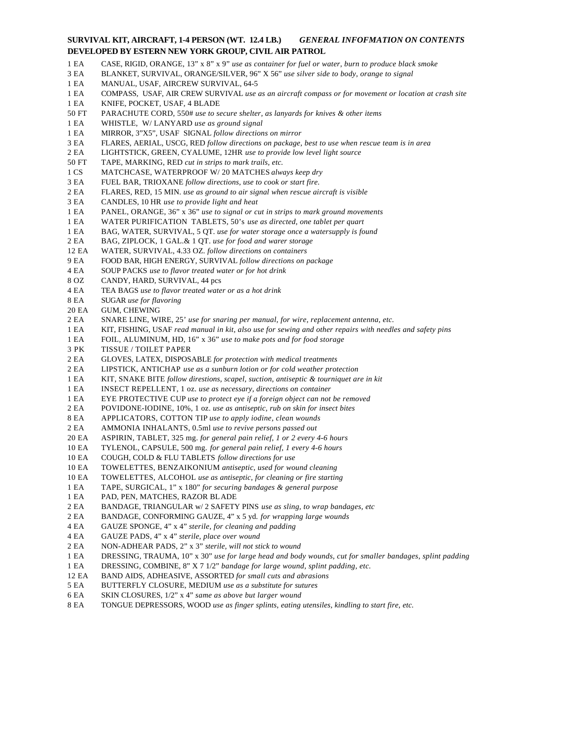#### **SURVIVAL KIT, AIRCRAFT, 1-4 PERSON (WT. 12.4 LB.)** *GENERAL INFOFMATION ON CONTENTS* **DEVELOPED BY ESTERN NEW YORK GROUP, CIVIL AIR PATROL**

- 1 EA CASE, RIGID, ORANGE, 13" x 8" x 9" *use as container for fuel or water, burn to produce black smoke*
- 3 EA BLANKET, SURVIVAL, ORANGE/SILVER, 96" X 56" *use silver side to body, orange to signal*
- 1 EA MANUAL, USAF, AIRCREW SURVIVAL, 64-5
- 1 EA COMPASS, USAF, AIR CREW SURVIVAL *use as an aircraft compass or for movement or location at crash site*
- 1 EA KNIFE, POCKET, USAF, 4 BLADE
- 50 FT PARACHUTE CORD, 550# *use to secure shelter, as lanyards for knives & other items*
- 1 EA WHISTLE, W/ LANYARD *use as ground signal*
- 1 EA MIRROR, 3"X5", USAF SIGNAL *follow directions on mirror*
- 3 EA FLARES, AERIAL, USCG, RED *follow directions on package, best to use when rescue team is in area*
- 2 EA LIGHTSTICK, GREEN, CYALUME, 12HR *use to provide low level light source*
- 50 FT TAPE, MARKING, RED *cut in strips to mark trails, etc.*
- 1 CS MATCHCASE, WATERPROOF W/ 20 MATCHES *always keep dry*
- 3 EA FUEL BAR, TRIOXANE *follow directions, use to cook or start fire.*
- 2 EA FLARES, RED, 15 MIN. *use as ground to air signal when rescue aircraft is visible*
- 3 EA CANDLES, 10 HR *use to provide light and heat*
- 1 EA PANEL, ORANGE, 36" x 36" *use to signal or cut in strips to mark ground movements*
- 1 EA WATER PURIFICATION TABLETS, 50's *use as directed, one tablet per quart*
- 1 EA BAG, WATER, SURVIVAL, 5 QT. *use for water storage once a watersupply is found*
- 2 EA BAG, ZIPLOCK, 1 GAL.& 1 QT. *use for food and warer storage*
- 12 EA WATER, SURVIVAL, 4.33 OZ. *follow directions on containers*
- 9 EA FOOD BAR, HIGH ENERGY, SURVIVAL *follow directions on package*
- 4 EA SOUP PACKS *use to flavor treated water or for hot drink*
- 8 OZ CANDY, HARD, SURVIVAL, 44 pcs
- 4 EA TEA BAGS *use to flavor treated water or as a hot drink*
- 8 EA SUGAR *use for flavoring*
- 20 EA GUM, CHEWING
- 2 EA SNARE LINE, WIRE, 25' *use for snaring per manual, for wire, replacement antenna, etc.*
- 1 EA KIT, FISHING, USAF *read manual in kit, also use for sewing and other repairs with needles and safety pins*
- 1 EA FOIL, ALUMINUM, HD, 16" x 36" *use to make pots and for food storage*
- 3 PK TISSUE / TOILET PAPER
- 2 EA GLOVES, LATEX, DISPOSABLE *for protection with medical treatments*
- 2 EA LIPSTICK, ANTICHAP *use as a sunburn lotion or for cold weather protection*
- 1 EA KIT, SNAKE BITE *follow direstions, scapel, suction, antiseptic & tourniquet are in kit*
- 1 EA INSECT REPELLENT, 1 oz. *use as necessary, directions on container*
- 1 EA EYE PROTECTIVE CUP *use to protect eye if a foreign object can not be removed*
- 2 EA POVIDONE-IODINE, 10%, 1 oz. *use as antiseptic, rub on skin for insect bites*
- 8 EA APPLICATORS, COTTON TIP *use to apply iodine, clean wounds*
- 2 EA AMMONIA INHALANTS, 0.5ml *use to revive persons passed out*
- 20 EA ASPIRIN, TABLET, 325 mg. *for general pain relief, 1 or 2 every 4-6 hours*
- 10 EA TYLENOL, CAPSULE, 500 mg. *for general pain relief, 1 every 4-6 hours*
- 10 EA COUGH, COLD & FLU TABLETS *follow directions for use*
- 10 EA TOWELETTES, BENZAIKONIUM *antiseptic, used for wound cleaning*
- 10 EA TOWELETTES, ALCOHOL *use as antiseptic, for cleaning or fire starting*
- 1 EA TAPE, SURGICAL, 1" x 180" *for securing bandages & general purpose*
- 1 EA PAD, PEN, MATCHES, RAZOR BLADE
- 2 EA BANDAGE, TRIANGULAR w/ 2 SAFETY PINS *use as sling, to wrap bandages, etc*
- 2 EA BANDAGE, CONFORMING GAUZE, 4" x 5 yd. *for wrapping large wounds*
- 4 EA GAUZE SPONGE, 4" x 4" *sterile, for cleaning and padding*
- 4 EA GAUZE PADS, 4" x 4" *sterile, place over wound*
- 2 EA NON-ADHEAR PADS, 2" x 3" *sterile, will not stick to wound*
- 1 EA DRESSING, TRAUMA, 10" x 30" *use for large head and body wounds, cut for smaller bandages, splint padding*
- 1 EA DRESSING, COMBINE, 8" X 7 1/2" *bandage for large wound, splint padding, etc.*
- 12 EA BAND AIDS, ADHEASIVE, ASSORTED *for small cuts and abrasions*
- 5 EA BUTTERFLY CLOSURE, MEDIUM *use as a substitute for sutures*
- 6 EA SKIN CLOSURES, 1/2" x 4" *same as above but larger wound*
- 8 EA TONGUE DEPRESSORS, WOOD *use as finger splints, eating utensiles, kindling to start fire, etc.*